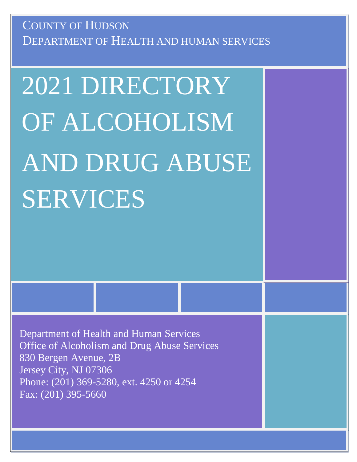DEPARTMENT OF HEALTH AND HUMAN SERVICES COUNTY OF HUDSON

# 2021 DIRECTORY OF ALCOHOLISM AND DRUG ABUSE SERVICES

Department of Health and Human Services Office of Alcoholism and Drug Abuse Services 830 Bergen Avenue, 2B Jersey City, NJ 07306 Phone: (201) 369-5280, ext. 4250 or 4254 Fax: (201) 395-5660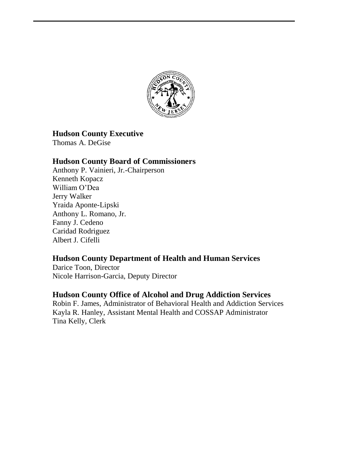

#### **Hudson County Executive**

Thomas A. DeGise

#### **Hudson County Board of Commissioners**

Anthony P. Vainieri, Jr.-Chairperson Kenneth Kopacz William O'Dea Jerry Walker Yraida Aponte-Lipski Anthony L. Romano, Jr. Fanny J. Cedeno Caridad Rodriguez Albert J. Cifelli

#### **Hudson County Department of Health and Human Services**

Darice Toon, Director Nicole Harrison-Garcia, Deputy Director

#### **Hudson County Office of Alcohol and Drug Addiction Services**

Robin F. James, Administrator of Behavioral Health and Addiction Services Kayla R. Hanley, Assistant Mental Health and COSSAP Administrator Tina Kelly, Clerk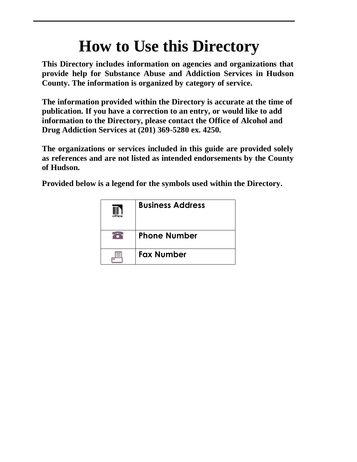# **How to Use this Directory**

**This Directory includes information on agencies and organizations that provide help for Substance Abuse and Addiction Services in Hudson County. The information is organized by category of service.** 

**The information provided within the Directory is accurate at the time of publication. If you have a correction to an entry, or would like to add information to the Directory, please contact the Office of Alcohol and Drug Addiction Services at (201) 369-5280 ex. 4250.**

**The organizations or services included in this guide are provided solely as references and are not listed as intended endorsements by the County of Hudson.**

**Provided below is a legend for the symbols used within the Directory.**

| office | <b>Business Address</b> |
|--------|-------------------------|
|        | <b>Phone Number</b>     |
| ≡      | <b>Fax Number</b>       |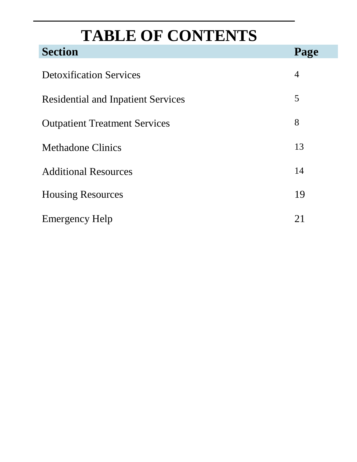# **TABLE OF CONTENTS**

| <b>Section</b>                            | Page |
|-------------------------------------------|------|
| <b>Detoxification Services</b>            |      |
| <b>Residential and Inpatient Services</b> |      |
| <b>Outpatient Treatment Services</b>      |      |
| <b>Methadone Clinics</b>                  | 13   |
| <b>Additional Resources</b>               |      |
| <b>Housing Resources</b>                  |      |
| <b>Emergency Help</b>                     | 21   |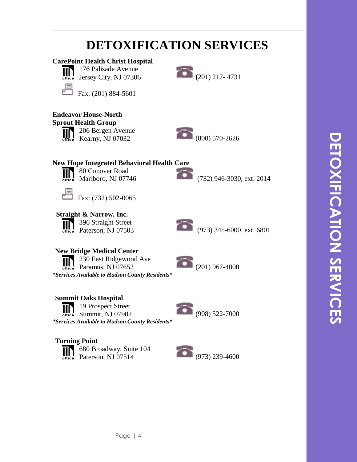#### **DETOXIFICATION SERVICES CarePoint Health Christ Hospital** 176 Palisade Avenue  $\overline{\lim}_{\text{office}}$ 176 Palisade Avenue<br>Jersey City, NJ 07306 (201) 217- 4731 ╒ Fax: (201) 884-5601 **Endeavor House-North Sprout Health Group** 206 Bergen Avenue 206 Bergen Avenue<br>Kearny, NJ 07032 (800) 570-2626  $\mathbb{H}$ office **New Hope Integrated Behavioral Health Care** 80 Conover Road  $\| \|\|$ Marlboro, NJ 07746(732) 946-3030, ext. 2014 론 Fax: (732) 502-0065  **Straight & Narrow, Inc.** 396 Straight Street 396 Straight Street<br>Paterson, NJ 07503 (973) 345-6000, ext. 6801 IIII **New Bridge Medical Center** 230 East Ridgewood Ave 230 East Ridgewood Ave<br>
Paramus, NJ 07652 (201) 967-4000 *\*Services Available to Hudson County Residents\** **Summit Oaks Hospital** 19 Prospect Street  $\mathbb{I}$ Summit, NJ 07902 (908) 522-7000 *\*Services Available to Hudson County Residents\** **Turning Point** 680 Broadway, Suite 104 680 Broadway, Suite 104<br>Paterson, NJ 07514 (973) 239-4600  $\mathbb{I}$

**\_\_\_\_\_\_\_\_\_\_\_\_\_\_\_\_\_\_\_\_\_\_\_\_\_\_\_\_\_\_\_\_\_\_\_\_\_\_\_\_\_\_\_\_\_\_\_\_\_\_\_\_\_\_\_\_\_\_\_\_\_\_\_\_\_\_\_**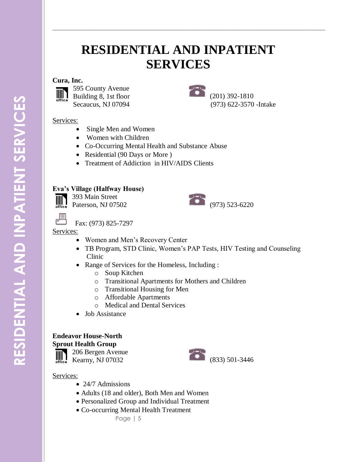### **RESIDENTIAL AND INPATIENT SERVICES**

**\_\_\_\_\_\_\_\_\_\_\_\_\_\_\_\_\_\_\_\_\_\_\_\_\_\_\_\_\_\_\_\_\_\_\_\_\_\_\_\_\_\_\_\_\_\_\_\_\_\_\_\_\_\_\_\_\_\_\_\_\_\_\_\_\_\_\_**

#### **Cura, Inc.**

**IIII** 



595 County Avenue Building 8, 1st floor Secaucus, NJ 07094



(201) 392-1810 (973) 622-3570 -Intake

#### Services:

- Single Men and Women
- Women with Children
- Co-Occurring Mental Health and Substance Abuse
- Residential (90 Days or More)
- Treatment of Addiction in HIV/AIDS Clients

#### **Eva's Village (Halfway House)**

393 Main Street  $\mathbb{H}$ 



Fax: (973) 825-7297

#### Services:

- Women and Men's Recovery Center
- TB Program, STD Clinic, Women's PAP Tests, HIV Testing and Counseling Clinic
- Range of Services for the Homeless, Including :
	- o Soup Kitchen
	- o Transitional Apartments for Mothers and Children
	- o Transitional Housing for Men
	- o Affordable Apartments
	- o Medical and Dental Services
- Job Assistance

#### **Endeavor House-North**

**Sprout Health Group**

206 Bergen Avenue 

# Exercise Exercise 200 Bergen Avenue<br>
Kearny, NJ 07032 (833) 501-3446

- 24/7 Admissions
- Adults (18 and older), Both Men and Women
- Personalized Group and Individual Treatment
- Co-occurring Mental Health Treatment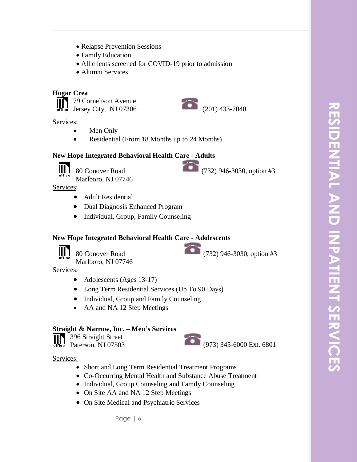- Relapse Prevention Sessions
- Family Education
- All clients screened for COVID-19 prior to admission

**\_\_\_\_\_\_\_\_\_\_\_\_\_\_\_\_\_\_\_\_\_\_\_\_\_\_\_\_\_\_\_\_\_\_\_\_\_\_\_\_\_\_\_\_\_\_\_\_\_\_\_\_\_\_\_\_\_\_\_\_\_\_\_\_\_\_\_**

Alumni Services

#### **Hogar Crea**

79 Cornelison Avenue  $\overline{J}$  79 Cornelison Avenue<br>
Jersey City, NJ 07306 (201) 433-7040

Services:

- Men Only
- Residential (From 18 Months up to 24 Months)

#### **New Hope Integrated Behavioral Health Care - Adults**



Services:

- Adult Residential
- Dual Diagnosis Enhanced Program
- Individual, Group, Family Counseling

#### **New Hope Integrated Behavioral Health Care - Adolescents**



80 Conover Road (732) 946-3030, option #3

Marlboro, NJ 07746

Services:

- Adolescents (Ages 13-17)
- Long Term Residential Services (Up To 90 Days)
- Individual, Group and Family Counseling
- AA and NA 12 Step Meetings

#### **Straight & Narrow, Inc. – Men's Services**

396 Straight Street 

#### Services:

- Short and Long Term Residential Treatment Programs
- Co-Occurring Mental Health and Substance Abuse Treatment
- Individual, Group Counseling and Family Counseling
- On Site AA and NA 12 Step Meetings
- On Site Medical and Psychiatric Services

Page | 6

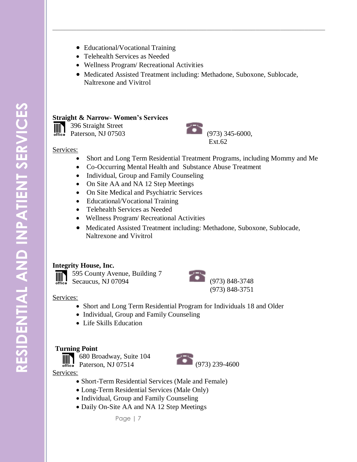- IIIIT
- Educational/Vocational Training
- Telehealth Services as Needed
- Wellness Program/ Recreational Activities
- Medicated Assisted Treatment including: Methadone, Suboxone, Sublocade, Naltrexone and Vivitrol

**\_\_\_\_\_\_\_\_\_\_\_\_\_\_\_\_\_\_\_\_\_\_\_\_\_\_\_\_\_\_\_\_\_\_\_\_\_\_\_\_\_\_\_\_\_\_\_\_\_\_\_\_\_\_\_\_\_\_\_\_\_\_\_\_\_\_\_**

#### **Straight & Narrow- Women's Services**

396 Straight Street



#### Services:

- Short and Long Term Residential Treatment Programs, including Mommy and Me
- Co-Occurring Mental Health and Substance Abuse Treatment
- Individual, Group and Family Counseling
- On Site AA and NA 12 Step Meetings
- On Site Medical and Psychiatric Services
- Educational/Vocational Training
- Telehealth Services as Needed
- Wellness Program/ Recreational Activities
- Medicated Assisted Treatment including: Methadone, Suboxone, Sublocade, Naltrexone and Vivitrol

#### **Integrity House, Inc.**



595 County Avenue, Building 7



#### Services:

- Short and Long Term Residential Program for Individuals 18 and Older
- Individual, Group and Family Counseling
- Life Skills Education

#### **Turning Point**



- Short-Term Residential Services (Male and Female)
- Long-Term Residential Services (Male Only)
- Individual, Group and Family Counseling
- Daily On-Site AA and NA 12 Step Meetings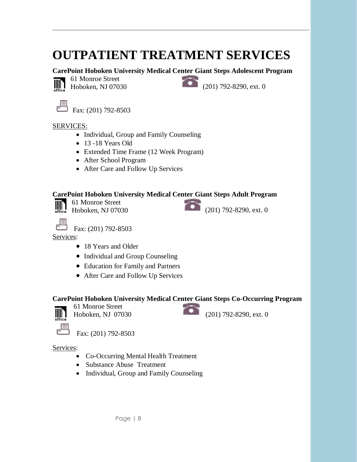# **OUTPATIENT TREATMENT SERVICES**

**\_\_\_\_\_\_\_\_\_\_\_\_\_\_\_\_\_\_\_\_\_\_\_\_\_\_\_\_\_\_\_\_\_\_\_\_\_\_\_\_\_\_\_\_\_\_\_\_\_\_\_\_\_\_\_\_\_\_\_\_\_\_\_\_\_\_\_**

#### **CarePoint Hoboken University Medical Center Giant Steps Adolescent Program**



61 Monroe Street

61 Monroe Street<br>Hoboken, NJ 07030 (201) 792-8290, ext. 0

루

Fax: (201) 792-8503

#### SERVICES:

- Individual, Group and Family Counseling
- 13 -18 Years Old
- Extended Time Frame (12 Week Program)
- After School Program
- After Care and Follow Up Services

#### **CarePoint Hoboken University Medical Center Giant Steps Adult Program**

61 Monroe Street  $\mathbb{H}$ 61 Monroe Street<br>Hoboken, NJ 07030 (201) 792-8290, ext. 0

**OUTPATIENT TREATMENT SERVICES**





Fax: (201) 792-8503

Services:

- 18 Years and Older
- Individual and Group Counseling
- Education for Family and Partners
- After Care and Follow Up Services

#### **CarePoint Hoboken University Medical Center Giant Steps Co-Occurring Program**



61 Monroe Street

Fax: (201) 792-8503

Hoboken, NJ 07030 (201) 792-8290, ext. 0

- Co-Occurring Mental Health Treatment
- Substance Abuse Treatment
- Individual, Group and Family Counseling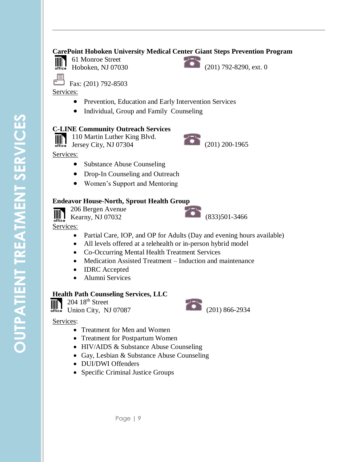#### **CarePoint Hoboken University Medical Center Giant Steps Prevention Program**

**\_\_\_\_\_\_\_\_\_\_\_\_\_\_\_\_\_\_\_\_\_\_\_\_\_\_\_\_\_\_\_\_\_\_\_\_\_\_\_\_\_\_\_\_\_\_\_\_\_\_\_\_\_\_\_\_\_\_\_\_\_\_\_\_\_\_\_**



61 Monroe Street Hoboken, NJ 07030 (201) 792-8290, ext. 0

 $\overline{\phantom{1}}$  Fax: (201) 792-8503

Services:

- Prevention, Education and Early Intervention Services
- Individual, Group and Family Counseling

#### **C-LINE Community Outreach Services**

 $\begin{array}{c} \hline \text{O} \\ \text{O} \end{array}$  110 Martin Luther King Blvd.<br>  $\begin{array}{c} \hline \text{O} \\ \text{O} \end{array}$  200-1965 110 Martin Luther King Blvd. IIII



#### Services:

- Substance Abuse Counseling
- Drop-In Counseling and Outreach
- Women's Support and Mentoring

#### **Endeavor House-North, Sprout Health Group**



206 Bergen Avenue Kearny, NJ 07032 (833)501-3466

Services:

- Partial Care, IOP, and OP for Adults (Day and evening hours available)
- All levels offered at a telehealth or in-person hybrid model
- Co-Occurring Mental Health Treatment Services
- Medication Assisted Treatment Induction and maintenance
- **IDRC** Accepted
- Alumni Services

#### **Health Path Counseling Services, LLC**

 $204~18<sup>th</sup>$  Street



- Treatment for Men and Women
- Treatment for Postpartum Women
- HIV/AIDS & Substance Abuse Counseling
- Gay, Lesbian & Substance Abuse Counseling
- DUI/DWI Offenders
- Specific Criminal Justice Groups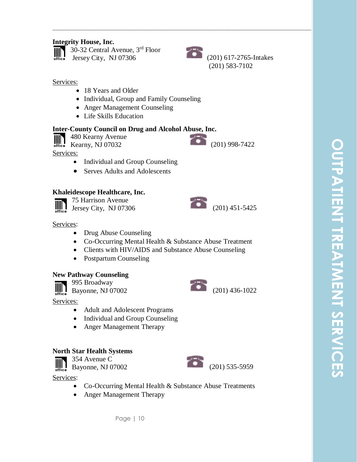#### **Integrity House, Inc.**



30-32 Central Avenue, 3rd Floor 30-32 Central Avenue,  $3<sup>rd</sup>$  Floor<br>Jersey City, NJ 07306 (201) 617-2765-Intakes



**\_\_\_\_\_\_\_\_\_\_\_\_\_\_\_\_\_\_\_\_\_\_\_\_\_\_\_\_\_\_\_\_\_\_\_\_\_\_\_\_\_\_\_\_\_\_\_\_\_\_\_\_\_\_\_\_\_\_\_\_\_\_\_\_\_\_\_**

(201) 583-7102

#### Services:

- 18 Years and Older
- Individual, Group and Family Counseling
- Anger Management Counseling
- Life Skills Education

#### **Inter-County Council on Drug and Alcohol Abuse, Inc.**

480 Kearny Avenue  $\begin{array}{c} \hline \text{[III]} \\ \text{office} \end{array}$  480 Kearny Avenue (201) 998-7422

Services:

- Individual and Group Counseling
- Serves Adults and Adolescents

#### **Khaleidescope Healthcare, Inc.**



75 Harrison Avenue Jersey City, NJ 07306 (201) 451-5425

#### Services:

- Drug Abuse Counseling
- Co-Occurring Mental Health & Substance Abuse Treatment
- Clients with HIV/AIDS and Substance Abuse Counseling
- Postpartum Counseling

#### **New Pathway Counseling**

995 Broadway

 $\left| \frac{\|}{\| \mathbf{u} \|_2}\right|$ 

Services:

- Adult and Adolescent Programs
- Individual and Group Counseling
- Anger Management Therapy

#### **North Star Health Systems**

354 Avenue C

**WN** Bayonne, NJ 07002 (201) 535-5959 office

- Co-Occurring Mental Health & Substance Abuse Treatments
- Anger Management Therapy









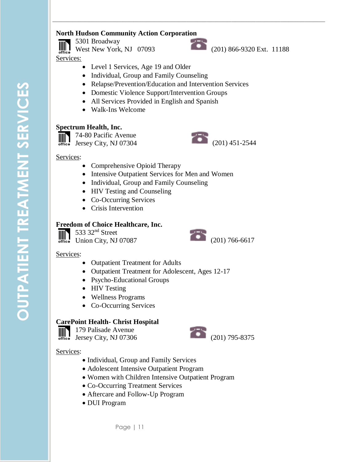#### **North Hudson Community Action Corporation**

5301 Broadway  $III<sub>1</sub>$ West New York, NJ 07093 (201) 866-9320 Ext. 11188 Services:



**\_\_\_\_\_\_\_\_\_\_\_\_\_\_\_\_\_\_\_\_\_\_\_\_\_\_\_\_\_\_\_\_\_\_\_\_\_\_\_\_\_\_\_\_\_\_\_\_\_\_\_\_\_\_\_\_\_\_\_\_\_\_\_\_\_\_\_**

- Level 1 Services, Age 19 and Older
- Individual, Group and Family Counseling
- Relapse/Prevention/Education and Intervention Services
- Domestic Violence Support/Intervention Groups
- All Services Provided in English and Spanish
- Walk-Ins Welcome

#### **Spectrum Health, Inc.**

74-80 Pacific Avenue



#### Services:

- Comprehensive Opioid Therapy
- Intensive Outpatient Services for Men and Women
- Individual, Group and Family Counseling
- HIV Testing and Counseling
- Co-Occurring Services
- Crisis Intervention

#### **Freedom of Choice Healthcare, Inc.**

533 32nd Street



#### Services:

- Outpatient Treatment for Adults
- Outpatient Treatment for Adolescent, Ages 12-17
- Psycho-Educational Groups
- HIV Testing
- Wellness Programs
- Co-Occurring Services

#### **CarePoint Health- Christ Hospital**

179 Palisade Avenue IIIN  $\begin{array}{c} 11.75 \text{ r}^2 \text{m}^2 \text{m}^2 \text{m}^2 \text{m}^2 \text{m}^2 \text{m}^2 \text{m}^2 \text{m}^2 \text{m}^2 \text{m}^2 \text{m}^2 \text{m}^2 \text{m}^2 \text{m}^2 \text{m}^2 \text{m}^2 \text{m}^2 \text{m}^2 \text{m}^2 \text{m}^2 \text{m}^2 \text{m}^2 \text{m}^2 \text{m}^2 \text{m}^2 \text{m}^2 \text{m}^2 \text{m}^2 \text{m$ 

- Individual, Group and Family Services
- Adolescent Intensive Outpatient Program
- Women with Children Intensive Outpatient Program
- Co-Occurring Treatment Services
- Aftercare and Follow-Up Program
- DUI Program

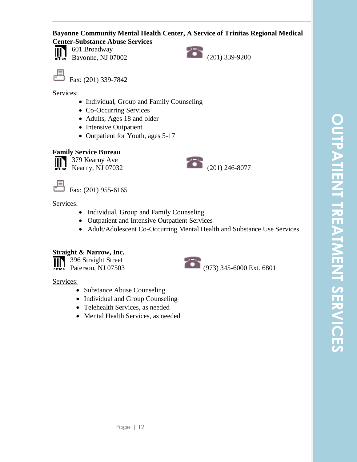#### **Bayonne Community Mental Health Center, A Service of Trinitas Regional Medical Center-Substance Abuse Services**

**\_\_\_\_\_\_\_\_\_\_\_\_\_\_\_\_\_\_\_\_\_\_\_\_\_\_\_\_\_\_\_\_\_\_\_\_\_\_\_\_\_\_\_\_\_\_\_\_\_\_\_\_\_\_\_\_\_\_\_\_\_\_\_\_\_\_\_**



601 Broadway



Fax: (201) 339-7842

Services:

- Individual, Group and Family Counseling
- Co-Occurring Services
- Adults, Ages 18 and older
- Intensive Outpatient
- Outpatient for Youth, ages 5-17

#### **Family Service Bureau**

379 Kearny Ave IIII Kearny, NJ 07032 (201) 246-8077

Fax: (201) 955-6165



Services:

- Individual, Group and Family Counseling
- Outpatient and Intensive Outpatient Services
- Adult/Adolescent Co-Occurring Mental Health and Substance Use Services

#### **Straight & Narrow, Inc.**

396 Straight Street 396 Straight Street<br>Paterson, NJ 07503 (973) 345-6000 Ext. 6801 Ⅲ

- Substance Abuse Counseling
- Individual and Group Counseling
- Telehealth Services, as needed
- Mental Health Services, as needed

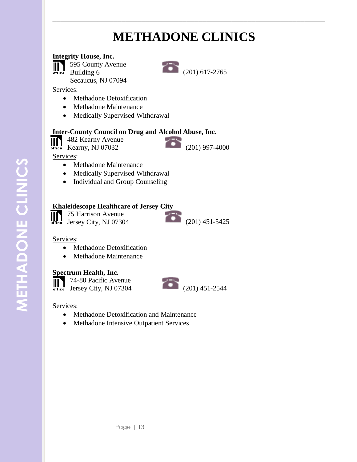# **METHADONE CLINICS**

**\_\_\_\_\_\_\_\_\_\_\_\_\_\_\_\_\_\_\_\_\_\_\_\_\_\_\_\_\_\_\_\_\_\_\_\_\_\_\_\_\_\_\_\_\_\_\_\_\_\_\_\_\_\_\_\_\_\_\_\_\_\_\_\_\_\_\_**

#### **Integrity House, Inc.**

595 County Avenue **THIS** Building 6

Secaucus, NJ 07094

Services:

- Methadone Detoxification
- Methadone Maintenance
- Medically Supervised Withdrawal

#### **Inter-County Council on Drug and Alcohol Abuse, Inc.**

**THE 482 Kearny Avenue**<br> **Kearny, NJ 07032** 

 $(201)$  997-4000

Services:

- Methadone Maintenance
- Medically Supervised Withdrawal
- Individual and Group Counseling

#### **Khaleidescope Healthcare of Jersey City**

**75 Harrison Avenue**  $\begin{array}{|c|c|c|c|}\n\hline\n\text{of the 1}\n\end{array}$  Jersey City, NJ 07304 (201) 451-5425

#### Services:

- Methadone Detoxification
- Methadone Maintenance

#### **Spectrum Health, Inc.**

74-80 Pacific Avenue Jersey City, NJ 07304 (201) 451-2544

- Methadone Detoxification and Maintenance
- Methadone Intensive Outpatient Services







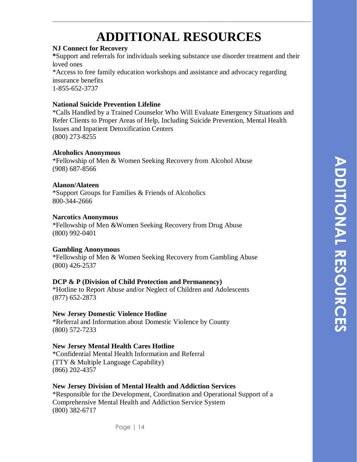# **ADDITIONAL RESOURCES**

**\_\_\_\_\_\_\_\_\_\_\_\_\_\_\_\_\_\_\_\_\_\_\_\_\_\_\_\_\_\_\_\_\_\_\_\_\_\_\_\_\_\_\_\_\_\_\_\_\_\_\_\_\_\_\_\_\_\_\_\_\_\_\_\_\_\_\_**

#### **NJ Connect for Recovery**

**\***Support and referrals for individuals seeking substance use disorder treatment and their loved ones \*Access to free family education workshops and assistance and advocacy regarding

insurance benefits 1-855-652-3737

#### **National Suicide Prevention Lifeline**

\*Calls Handled by a Trained Counselor Who Will Evaluate Emergency Situations and Refer Clients to Proper Areas of Help, Including Suicide Prevention, Mental Health Issues and Inpatient Detoxification Centers (800) 273-8255

#### **Alcoholics Anonymous**

\*Fellowship of Men & Women Seeking Recovery from Alcohol Abuse (908) 687-8566

#### **Alanon/Alateen**

\*Support Groups for Families & Friends of Alcoholics 800-344-2666

#### **Narcotics Anonymous**

\*Fellowship of Men &Women Seeking Recovery from Drug Abuse (800) 992-0401

#### **Gambling Anonymous**

\*Fellowship of Men & Women Seeking Recovery from Gambling Abuse (800) 426-2537

#### **DCP & P (Division of Child Protection and Permanency)**

\*Hotline to Report Abuse and/or Neglect of Children and Adolescents (877) 652-2873

#### **New Jersey Domestic Violence Hotline**

\*Referral and Information about Domestic Violence by County (800) 572-7233

#### **New Jersey Mental Health Cares Hotline**

\*Confidential Mental Health Information and Referral (TTY & Multiple Language Capability) (866) 202-4357

#### **New Jersey Division of Mental Health and Addiction Services**

\*Responsible for the Development, Coordination and Operational Support of a Comprehensive Mental Health and Addiction Service System (800) 382-6717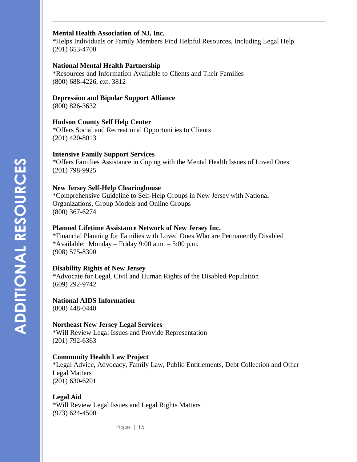#### **Mental Health Association of NJ, Inc.**

\*Helps Individuals or Family Members Find Helpful Resources, Including Legal Help (201) 653-4700

**\_\_\_\_\_\_\_\_\_\_\_\_\_\_\_\_\_\_\_\_\_\_\_\_\_\_\_\_\_\_\_\_\_\_\_\_\_\_\_\_\_\_\_\_\_\_\_\_\_\_\_\_\_\_\_\_\_\_\_\_\_\_\_\_\_\_\_**

#### **National Mental Health Partnership**

\*Resources and Information Available to Clients and Their Families (800) 688-4226, ext. 3812

#### **Depression and Bipolar Support Alliance**

(800) 826-3632

#### **Hudson County Self Help Center**

\*Offers Social and Recreational Opportunities to Clients (201) 420-8013

#### **Intensive Family Support Services**

\*Offers Families Assistance in Coping with the Mental Health Issues of Loved Ones (201) 798-9925

#### **New Jersey Self-Help Clearinghouse**

\*Comprehensive Guideline to Self-Help Groups in New Jersey with National Organizations, Group Models and Online Groups (800) 367-6274

#### **Planned Lifetime Assistance Network of New Jersey Inc.**

\*Financial Planning for Families with Loved Ones Who are Permanently Disabled \*Available: Monday – Friday 9:00 a.m. –  $5:00$  p.m. (908) 575-8300

#### **Disability Rights of New Jersey**

\*Advocate for Legal, Civil and Human Rights of the Disabled Population (609) 292-9742

#### **National AIDS Information**

(800) 448-0440

#### **Northeast New Jersey Legal Services**

\*Will Review Legal Issues and Provide Representation (201) 792-6363

#### **Community Health Law Project**

\*Legal Advice, Advocacy, Family Law, Public Entitlements, Debt Collection and Other Legal Matters (201) 630-6201

#### **Legal Aid**

\*Will Review Legal Issues and Legal Rights Matters (973) 624-4500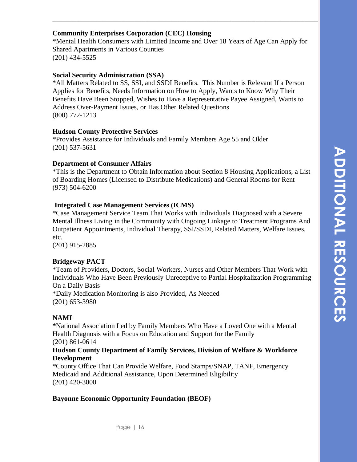#### **Community Enterprises Corporation (CEC) Housing**

\*Mental Health Consumers with Limited Income and Over 18 Years of Age Can Apply for Shared Apartments in Various Counties (201) 434-5525

**\_\_\_\_\_\_\_\_\_\_\_\_\_\_\_\_\_\_\_\_\_\_\_\_\_\_\_\_\_\_\_\_\_\_\_\_\_\_\_\_\_\_\_\_\_\_\_\_\_\_\_\_\_\_\_\_\_\_\_\_\_\_\_\_\_\_\_**

#### **Social Security Administration (SSA)**

\*All Matters Related to SS, SSI, and SSDI Benefits. This Number is Relevant If a Person Applies for Benefits, Needs Information on How to Apply, Wants to Know Why Their Benefits Have Been Stopped, Wishes to Have a Representative Payee Assigned, Wants to Address Over-Payment Issues, or Has Other Related Questions (800) 772-1213

#### **Hudson County Protective Services**

\*Provides Assistance for Individuals and Family Members Age 55 and Older (201) 537-5631

#### **Department of Consumer Affairs**

\*This is the Department to Obtain Information about Section 8 Housing Applications, a List of Boarding Homes (Licensed to Distribute Medications) and General Rooms for Rent (973) 504-6200

#### **Integrated Case Management Services (ICMS)**

\*Case Management Service Team That Works with Individuals Diagnosed with a Severe Mental Illness Living in the Community with Ongoing Linkage to Treatment Programs And Outpatient Appointments, Individual Therapy, SSI/SSDI, Related Matters, Welfare Issues, etc.

(201) 915-2885

#### **Bridgeway PACT**

\*Team of Providers, Doctors, Social Workers, Nurses and Other Members That Work with Individuals Who Have Been Previously Unreceptive to Partial Hospitalization Programming On a Daily Basis \*Daily Medication Monitoring is also Provided, As Needed (201) 653-3980

#### **NAMI**

**\***National Association Led by Family Members Who Have a Loved One with a Mental Health Diagnosis with a Focus on Education and Support for the Family (201) 861-0614

#### **Hudson County Department of Family Services, Division of Welfare & Workforce Development**

\*County Office That Can Provide Welfare, Food Stamps/SNAP, TANF, Emergency Medicaid and Additional Assistance, Upon Determined Eligibility (201) 420-3000

#### **Bayonne Economic Opportunity Foundation (BEOF)**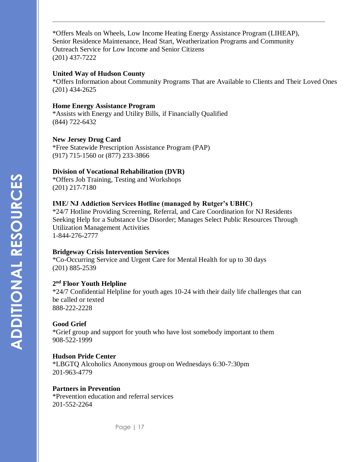\*Offers Meals on Wheels, Low Income Heating Energy Assistance Program (LIHEAP), Senior Residence Maintenance, Head Start, Weatherization Programs and Community Outreach Service for Low Income and Senior Citizens (201) 437-7222

**\_\_\_\_\_\_\_\_\_\_\_\_\_\_\_\_\_\_\_\_\_\_\_\_\_\_\_\_\_\_\_\_\_\_\_\_\_\_\_\_\_\_\_\_\_\_\_\_\_\_\_\_\_\_\_\_\_\_\_\_\_\_\_\_\_\_\_**

#### **United Way of Hudson County**

\*Offers Information about Community Programs That are Available to Clients and Their Loved Ones (201) 434-2625

#### **Home Energy Assistance Program**

\*Assists with Energy and Utility Bills, if Financially Qualified (844) 722-6432

#### **New Jersey Drug Card**

\*Free Statewide Prescription Assistance Program (PAP) (917) 715-1560 or (877) 233-3866

#### **Division of Vocational Rehabilitation (DVR)**

\*Offers Job Training, Testing and Workshops (201) 217-7180

#### **IME/ NJ Addiction Services Hotline (managed by Rutger's UBHC)**

\*24/7 Hotline Providing Screening, Referral, and Care Coordination for NJ Residents Seeking Help for a Substance Use Disorder; Manages Select Public Resources Through Utilization Management Activities 1-844-276-2777

#### **Bridgeway Crisis Intervention Services**

\*Co-Occurring Service and Urgent Care for Mental Health for up to 30 days (201) 885-2539

#### **2 nd Floor Youth Helpline**

\*24/7 Confidential Helpline for youth ages 10-24 with their daily life challenges that can be called or texted 888-222-2228

#### **Good Grief**

\*Grief group and support for youth who have lost somebody important to them 908-522-1999

#### **Hudson Pride Center**

\*LBGTQ Alcoholics Anonymous group on Wednesdays 6:30-7:30pm 201-963-4779

#### **Partners in Prevention**

\*Prevention education and referral services 201-552-2264

**ADDITIONAL RESOURCES ADDITIONAL RESOURCES**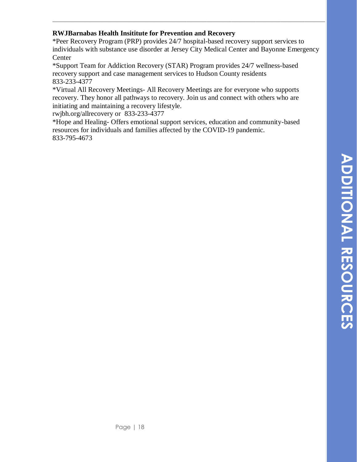#### **RWJBarnabas Health Insititute for Prevention and Recovery**

\*Peer Recovery Program (PRP) provides 24/7 hospital-based recovery support services to individuals with substance use disorder at Jersey City Medical Center and Bayonne Emergency Center

**\_\_\_\_\_\_\_\_\_\_\_\_\_\_\_\_\_\_\_\_\_\_\_\_\_\_\_\_\_\_\_\_\_\_\_\_\_\_\_\_\_\_\_\_\_\_\_\_\_\_\_\_\_\_\_\_\_\_\_\_\_\_\_\_\_\_\_**

\*Support Team for Addiction Recovery (STAR) Program provides 24/7 wellness-based recovery support and case management services to Hudson County residents 833-233-4377

\*Virtual All Recovery Meetings- All Recovery Meetings are for everyone who supports recovery. They honor all pathways to recovery. Join us and connect with others who are initiating and maintaining a recovery lifestyle.

rwjbh.org/allrecovery or 833-233-4377

\*Hope and Healing- Offers emotional support services, education and community-based resources for individuals and families affected by the COVID-19 pandemic. 833-795-4673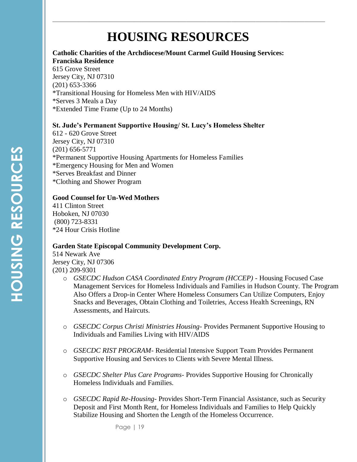## **HOUSING RESOURCES**

**\_\_\_\_\_\_\_\_\_\_\_\_\_\_\_\_\_\_\_\_\_\_\_\_\_\_\_\_\_\_\_\_\_\_\_\_\_\_\_\_\_\_\_\_\_\_\_\_\_\_\_\_\_\_\_\_\_\_\_\_\_\_\_\_\_\_\_**

#### **Catholic Charities of the Archdiocese/Mount Carmel Guild Housing Services: Franciska Residence**

615 Grove Street Jersey City, NJ 07310 (201) 653-3366 \*Transitional Housing for Homeless Men with HIV/AIDS \*Serves 3 Meals a Day \*Extended Time Frame (Up to 24 Months)

#### **St. Jude's Permanent Supportive Housing/ St. Lucy's Homeless Shelter**

612 - 620 Grove Street Jersey City, NJ 07310 (201) 656-5771 \*Permanent Supportive Housing Apartments for Homeless Families \*Emergency Housing for Men and Women \*Serves Breakfast and Dinner \*Clothing and Shower Program

#### **Good Counsel for Un-Wed Mothers**

411 Clinton Street Hoboken, NJ 07030 (800) 723-8331 \*24 Hour Crisis Hotline

#### **Garden State Episcopal Community Development Corp.**

514 Newark Ave Jersey City, NJ 07306 (201) 209-9301

- o *GSECDC Hudson CASA Coordinated Entry Program (HCCEP) -* Housing Focused Case Management Services for Homeless Individuals and Families in Hudson County. The Program Also Offers a Drop-in Center Where Homeless Consumers Can Utilize Computers, Enjoy Snacks and Beverages, Obtain Clothing and Toiletries, Access Health Screenings, RN Assessments, and Haircuts.
- o *GSECDC Corpus Christi Ministries Housing-* Provides Permanent Supportive Housing to Individuals and Families Living with HIV/AIDS
- o *GSECDC RIST PROGRAM-* Residential Intensive Support Team Provides Permanent Supportive Housing and Services to Clients with Severe Mental Illness.
- o *GSECDC Shelter Plus Care Programs* Provides Supportive Housing for Chronically Homeless Individuals and Families.
- o *GSECDC Rapid Re-Housing-* Provides Short-Term Financial Assistance, such as Security Deposit and First Month Rent, for Homeless Individuals and Families to Help Quickly Stabilize Housing and Shorten the Length of the Homeless Occurrence.

Page | 19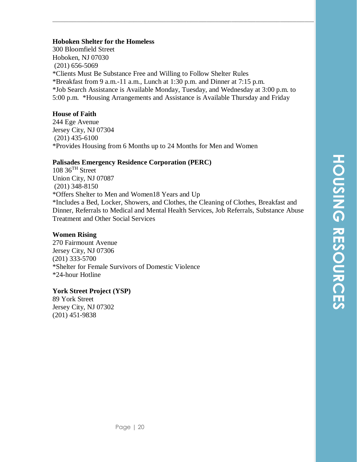#### **Hoboken Shelter for the Homeless**

300 Bloomfield Street Hoboken, NJ 07030 (201) 656-5069 \*Clients Must Be Substance Free and Willing to Follow Shelter Rules \*Breakfast from 9 a.m.-11 a.m., Lunch at 1:30 p.m. and Dinner at 7:15 p.m. \*Job Search Assistance is Available Monday, Tuesday, and Wednesday at 3:00 p.m. to 5:00 p.m. \*Housing Arrangements and Assistance is Available Thursday and Friday

**\_\_\_\_\_\_\_\_\_\_\_\_\_\_\_\_\_\_\_\_\_\_\_\_\_\_\_\_\_\_\_\_\_\_\_\_\_\_\_\_\_\_\_\_\_\_\_\_\_\_\_\_\_\_\_\_\_\_\_\_\_\_\_\_\_\_\_**

#### **House of Faith**

244 Ege Avenue Jersey City, NJ 07304 (201) 435-6100 \*Provides Housing from 6 Months up to 24 Months for Men and Women

#### **Palisades Emergency Residence Corporation (PERC)**

 $108 \, 36$ <sup>TH</sup> Street Union City, NJ 07087 (201) 348-8150 \*Offers Shelter to Men and Women18 Years and Up \*Includes a Bed, Locker, Showers, and Clothes, the Cleaning of Clothes, Breakfast and Dinner, Referrals to Medical and Mental Health Services, Job Referrals, Substance Abuse Treatment and Other Social Services

#### **Women Rising**

270 Fairmount Avenue Jersey City, NJ 07306 (201) 333-5700 \*Shelter for Female Survivors of Domestic Violence \*24-hour Hotline

#### **York Street Project (YSP)**

89 York Street Jersey City, NJ 07302 (201) 451-9838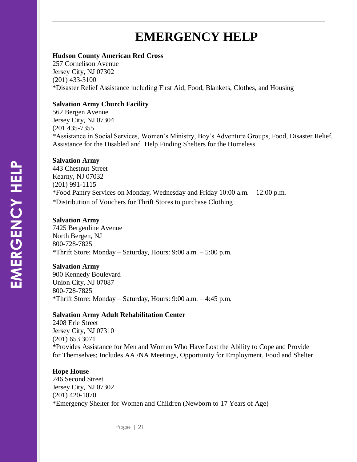# **EMERGENCY HELP**

**\_\_\_\_\_\_\_\_\_\_\_\_\_\_\_\_\_\_\_\_\_\_\_\_\_\_\_\_\_\_\_\_\_\_\_\_\_\_\_\_\_\_\_\_\_\_\_\_\_\_\_\_\_\_\_\_\_\_\_\_\_\_\_\_\_\_\_**

#### **Hudson County American Red Cross**

257 Cornelison Avenue Jersey City, NJ 07302 (201) 433-3100 \*Disaster Relief Assistance including First Aid, Food, Blankets, Clothes, and Housing

#### **Salvation Army Church Facility**

562 Bergen Avenue Jersey City, NJ 07304 (201 435-7355 \*Assistance in Social Services, Women's Ministry, Boy's Adventure Groups, Food, Disaster Relief, Assistance for the Disabled and Help Finding Shelters for the Homeless

#### **Salvation Army**

443 Chestnut Street Kearny, NJ 07032 (201) 991-1115 \*Food Pantry Services on Monday, Wednesday and Friday 10:00 a.m. – 12:00 p.m. \*Distribution of Vouchers for Thrift Stores to purchase Clothing

#### **Salvation Army**

7425 Bergenline Avenue North Bergen, NJ 800-728-7825 \*Thrift Store: Monday – Saturday, Hours: 9:00 a.m. – 5:00 p.m.

#### **Salvation Army**

900 Kennedy Boulevard Union City, NJ 07087 800-728-7825 \*Thrift Store: Monday – Saturday, Hours: 9:00 a.m. – 4:45 p.m.

#### **Salvation Army Adult Rehabilitation Center**

2408 Erie Street Jersey City, NJ 07310 (201) 653 3071 **\***Provides Assistance for Men and Women Who Have Lost the Ability to Cope and Provide for Themselves; Includes AA /NA Meetings, Opportunity for Employment, Food and Shelter

#### **Hope House**

246 Second Street Jersey City, NJ 07302 (201) 420-1070 \*Emergency Shelter for Women and Children (Newborn to 17 Years of Age)